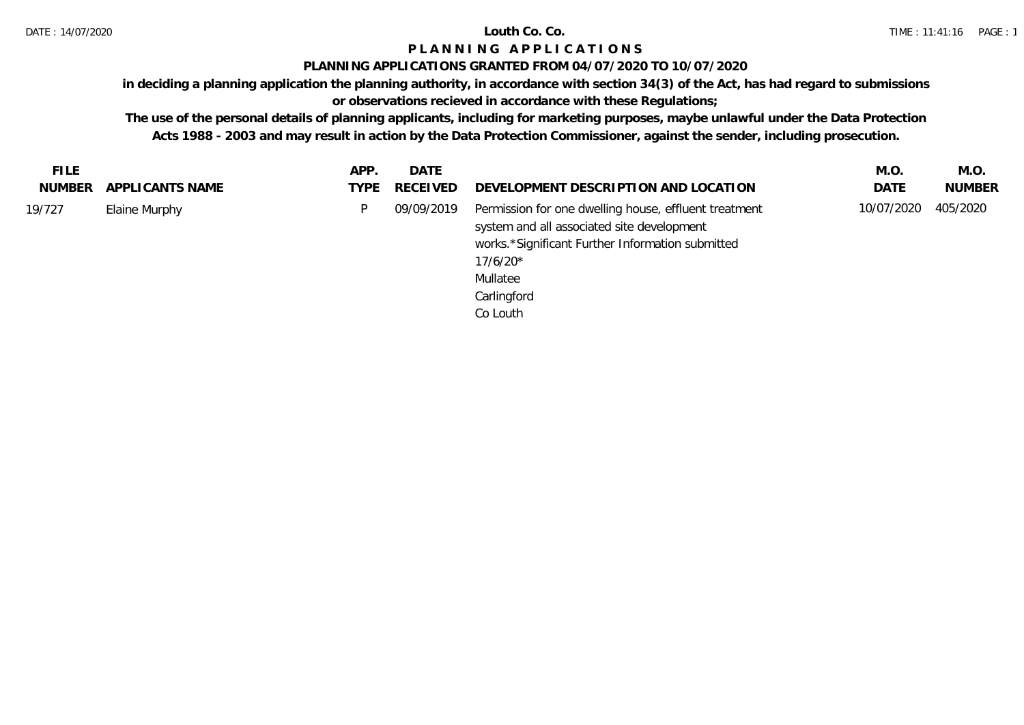### **PLANNING APPLICATIONS GRANTED FROM 04/07/2020 TO 10/07/2020**

**in deciding a planning application the planning authority, in accordance with section 34(3) of the Act, has had regard to submissions** 

# **or observations recieved in accordance with these Regulations;**

| <b>FILE</b> |                  | APP. | DATE          |                                                                                                                                                                                                              | M.O.       | M.O.          |
|-------------|------------------|------|---------------|--------------------------------------------------------------------------------------------------------------------------------------------------------------------------------------------------------------|------------|---------------|
| NUMBER      | APPLI CANTS NAME |      | TYPE RECEIVED | DEVELOPMENT DESCRIPTION AND LOCATION                                                                                                                                                                         | DATE       | <b>NUMBER</b> |
| 19/727      | Elaine Murphy    | P.   | 09/09/2019    | Permission for one dwelling house, effluent treatment<br>system and all associated site development<br>works.*Significant Further Information submitted<br>$17/6/20*$<br>Mullatee<br>Carlingford<br>Co Louth | 10/07/2020 | 405/2020      |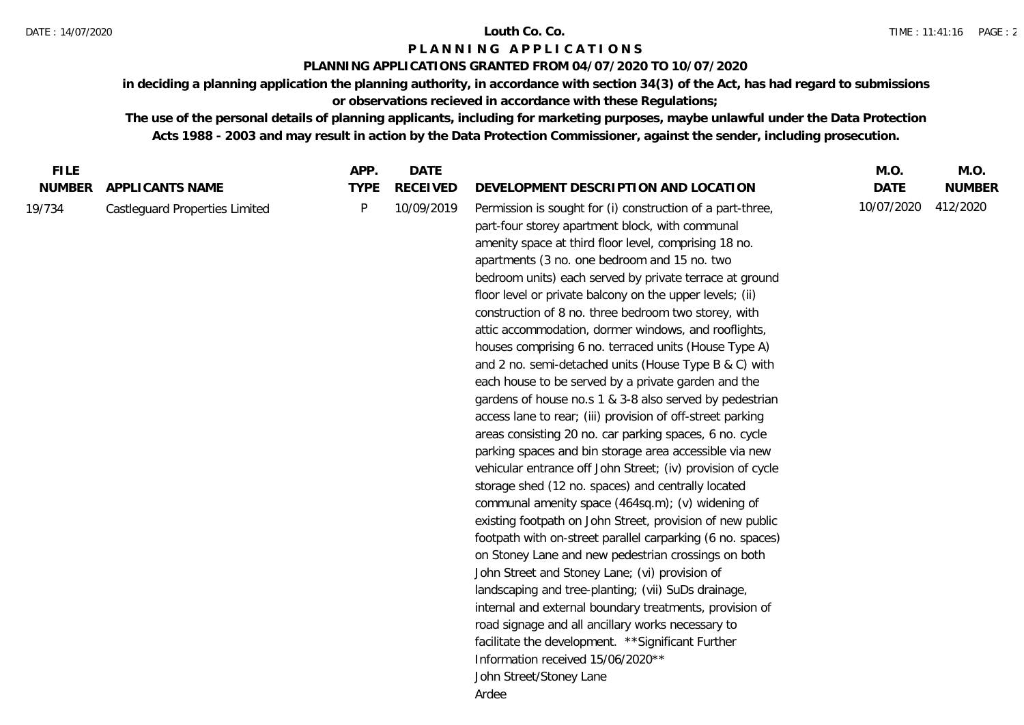### **PLANNING APPLICATIONS GRANTED FROM 04/07/2020 TO 10/07/2020**

**in deciding a planning application the planning authority, in accordance with section 34(3) of the Act, has had regard to submissions or observations recieved in accordance with these Regulations;**

| <b>FILE</b>   |                                | APP.        | <b>DATE</b>     |                                                                                                                                                                                                                                                                                                                                                                                                                                                                                                                                                                                                                                                                                                                                                                                                                                                                                                                                                                                                                                                                                                                                                                                                                                                                                                                                                                                                                                                                                                                                                                                                          | M.O.        | M.O.          |
|---------------|--------------------------------|-------------|-----------------|----------------------------------------------------------------------------------------------------------------------------------------------------------------------------------------------------------------------------------------------------------------------------------------------------------------------------------------------------------------------------------------------------------------------------------------------------------------------------------------------------------------------------------------------------------------------------------------------------------------------------------------------------------------------------------------------------------------------------------------------------------------------------------------------------------------------------------------------------------------------------------------------------------------------------------------------------------------------------------------------------------------------------------------------------------------------------------------------------------------------------------------------------------------------------------------------------------------------------------------------------------------------------------------------------------------------------------------------------------------------------------------------------------------------------------------------------------------------------------------------------------------------------------------------------------------------------------------------------------|-------------|---------------|
| <b>NUMBER</b> | <b>APPLICANTS NAME</b>         | <b>TYPE</b> | <b>RECEIVED</b> | DEVELOPMENT DESCRIPTION AND LOCATION                                                                                                                                                                                                                                                                                                                                                                                                                                                                                                                                                                                                                                                                                                                                                                                                                                                                                                                                                                                                                                                                                                                                                                                                                                                                                                                                                                                                                                                                                                                                                                     | <b>DATE</b> | <b>NUMBER</b> |
| 19/734        | Castleguard Properties Limited | P           | 10/09/2019      | Permission is sought for (i) construction of a part-three,<br>part-four storey apartment block, with communal<br>amenity space at third floor level, comprising 18 no.<br>apartments (3 no. one bedroom and 15 no. two<br>bedroom units) each served by private terrace at ground<br>floor level or private balcony on the upper levels; (ii)<br>construction of 8 no. three bedroom two storey, with<br>attic accommodation, dormer windows, and rooflights,<br>houses comprising 6 no. terraced units (House Type A)<br>and 2 no. semi-detached units (House Type B & C) with<br>each house to be served by a private garden and the<br>gardens of house no.s 1 & 3-8 also served by pedestrian<br>access lane to rear; (iii) provision of off-street parking<br>areas consisting 20 no. car parking spaces, 6 no. cycle<br>parking spaces and bin storage area accessible via new<br>vehicular entrance off John Street; (iv) provision of cycle<br>storage shed (12 no. spaces) and centrally located<br>communal amenity space (464sq.m); (v) widening of<br>existing footpath on John Street, provision of new public<br>footpath with on-street parallel carparking (6 no. spaces)<br>on Stoney Lane and new pedestrian crossings on both<br>John Street and Stoney Lane; (vi) provision of<br>landscaping and tree-planting; (vii) SuDs drainage,<br>internal and external boundary treatments, provision of<br>road signage and all ancillary works necessary to<br>facilitate the development. ** Significant Further<br>Information received 15/06/2020**<br>John Street/Stoney Lane<br>Ardee | 10/07/2020  | 412/2020      |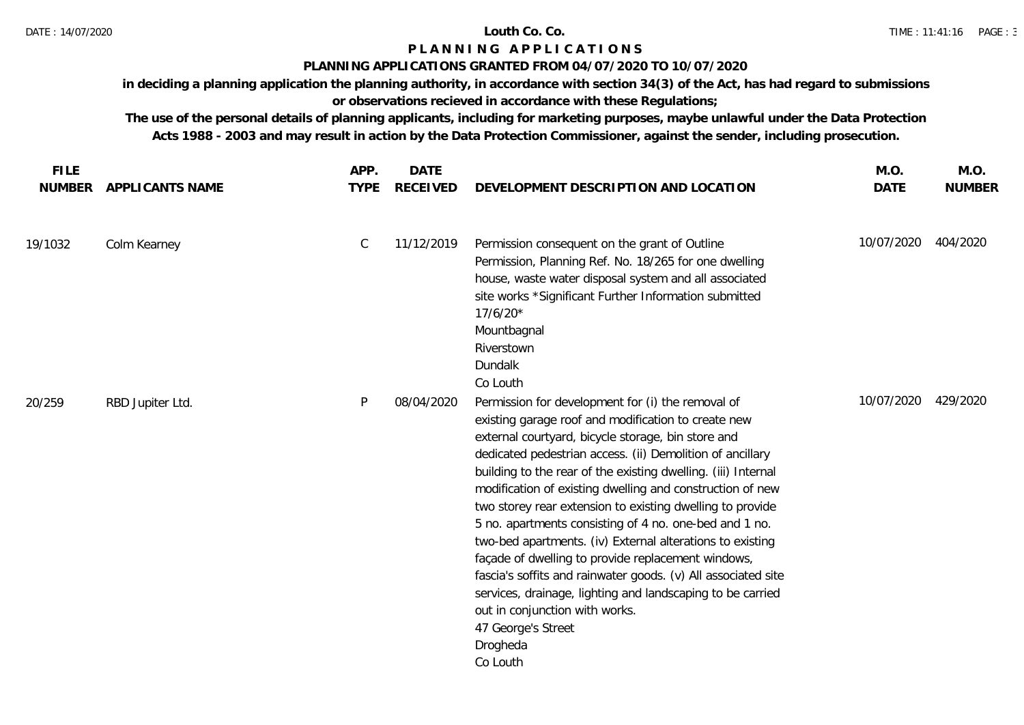### **PLANNING APPLICATIONS GRANTED FROM 04/07/2020 TO 10/07/2020**

**in deciding a planning application the planning authority, in accordance with section 34(3) of the Act, has had regard to submissions or observations recieved in accordance with these Regulations;**

| <b>FILE</b><br><b>NUMBER</b> | APPLICANTS NAME  | APP.<br><b>TYPE</b> | <b>DATE</b><br><b>RECEIVED</b> | DEVELOPMENT DESCRIPTION AND LOCATION                                                                                                                                                                                                                                                                                                                                                                                                                                                                                                                                                                                                                                                                                                                                                                               | M.O.<br><b>DATE</b> | M.O.<br><b>NUMBER</b> |
|------------------------------|------------------|---------------------|--------------------------------|--------------------------------------------------------------------------------------------------------------------------------------------------------------------------------------------------------------------------------------------------------------------------------------------------------------------------------------------------------------------------------------------------------------------------------------------------------------------------------------------------------------------------------------------------------------------------------------------------------------------------------------------------------------------------------------------------------------------------------------------------------------------------------------------------------------------|---------------------|-----------------------|
|                              |                  |                     |                                |                                                                                                                                                                                                                                                                                                                                                                                                                                                                                                                                                                                                                                                                                                                                                                                                                    |                     |                       |
| 19/1032                      | Colm Kearney     | $\mathsf C$         | 11/12/2019                     | Permission consequent on the grant of Outline<br>Permission, Planning Ref. No. 18/265 for one dwelling<br>house, waste water disposal system and all associated<br>site works *Significant Further Information submitted<br>$17/6/20*$<br>Mountbagnal<br>Riverstown<br>Dundalk<br>Co Louth                                                                                                                                                                                                                                                                                                                                                                                                                                                                                                                         | 10/07/2020          | 404/2020              |
| 20/259                       | RBD Jupiter Ltd. | P                   | 08/04/2020                     | Permission for development for (i) the removal of<br>existing garage roof and modification to create new<br>external courtyard, bicycle storage, bin store and<br>dedicated pedestrian access. (ii) Demolition of ancillary<br>building to the rear of the existing dwelling. (iii) Internal<br>modification of existing dwelling and construction of new<br>two storey rear extension to existing dwelling to provide<br>5 no. apartments consisting of 4 no. one-bed and 1 no.<br>two-bed apartments. (iv) External alterations to existing<br>façade of dwelling to provide replacement windows,<br>fascia's soffits and rainwater goods. (v) All associated site<br>services, drainage, lighting and landscaping to be carried<br>out in conjunction with works.<br>47 George's Street<br>Drogheda<br>Co Louth | 10/07/2020          | 429/2020              |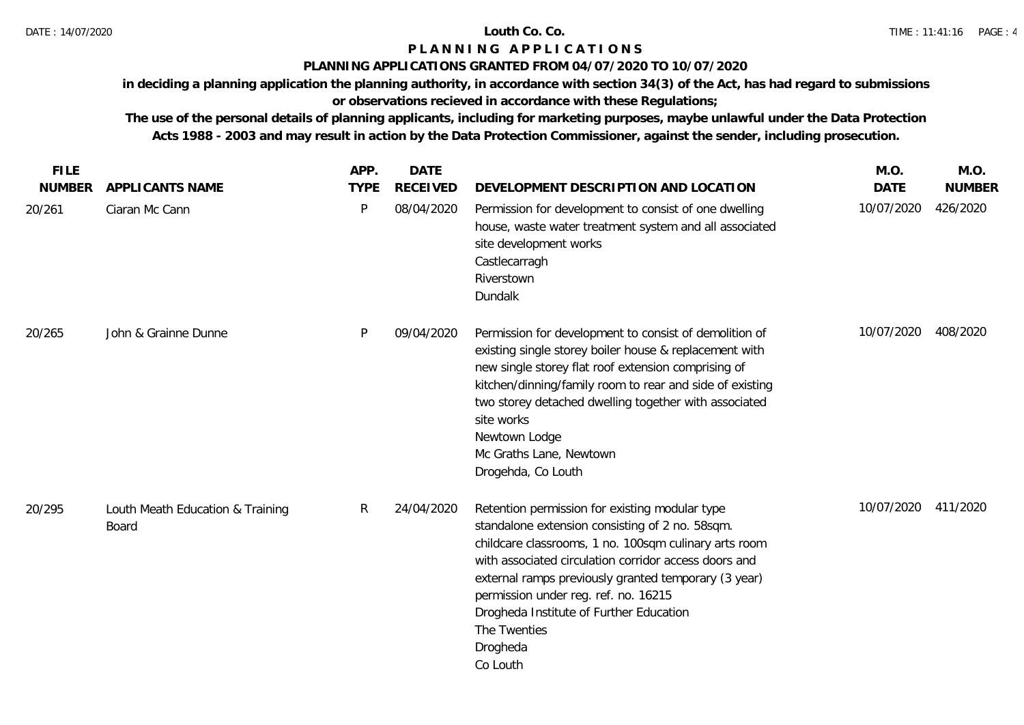### **PLANNING APPLICATIONS GRANTED FROM 04/07/2020 TO 10/07/2020**

**in deciding a planning application the planning authority, in accordance with section 34(3) of the Act, has had regard to submissions** 

**or observations recieved in accordance with these Regulations;**

| <b>FILE</b>   |                                                  | APP.         | <b>DATE</b>     |                                                                                                                                                                                                                                                                                                                                                                                                        | M.O.        | M.O.          |
|---------------|--------------------------------------------------|--------------|-----------------|--------------------------------------------------------------------------------------------------------------------------------------------------------------------------------------------------------------------------------------------------------------------------------------------------------------------------------------------------------------------------------------------------------|-------------|---------------|
| <b>NUMBER</b> | APPLICANTS NAME                                  | <b>TYPE</b>  | <b>RECEIVED</b> | DEVELOPMENT DESCRIPTION AND LOCATION                                                                                                                                                                                                                                                                                                                                                                   | <b>DATE</b> | <b>NUMBER</b> |
| 20/261        | Ciaran Mc Cann                                   | $\mathsf{P}$ | 08/04/2020      | Permission for development to consist of one dwelling<br>house, waste water treatment system and all associated<br>site development works<br>Castlecarragh<br>Riverstown<br>Dundalk                                                                                                                                                                                                                    | 10/07/2020  | 426/2020      |
| 20/265        | John & Grainne Dunne                             | P            | 09/04/2020      | Permission for development to consist of demolition of<br>existing single storey boiler house & replacement with<br>new single storey flat roof extension comprising of<br>kitchen/dinning/family room to rear and side of existing<br>two storey detached dwelling together with associated<br>site works<br>Newtown Lodge<br>Mc Graths Lane, Newtown<br>Drogehda, Co Louth                           | 10/07/2020  | 408/2020      |
| 20/295        | Louth Meath Education & Training<br><b>Board</b> | $\mathsf{R}$ | 24/04/2020      | Retention permission for existing modular type<br>standalone extension consisting of 2 no. 58sqm.<br>childcare classrooms, 1 no. 100sqm culinary arts room<br>with associated circulation corridor access doors and<br>external ramps previously granted temporary (3 year)<br>permission under reg. ref. no. 16215<br>Drogheda Institute of Further Education<br>The Twenties<br>Drogheda<br>Co Louth | 10/07/2020  | 411/2020      |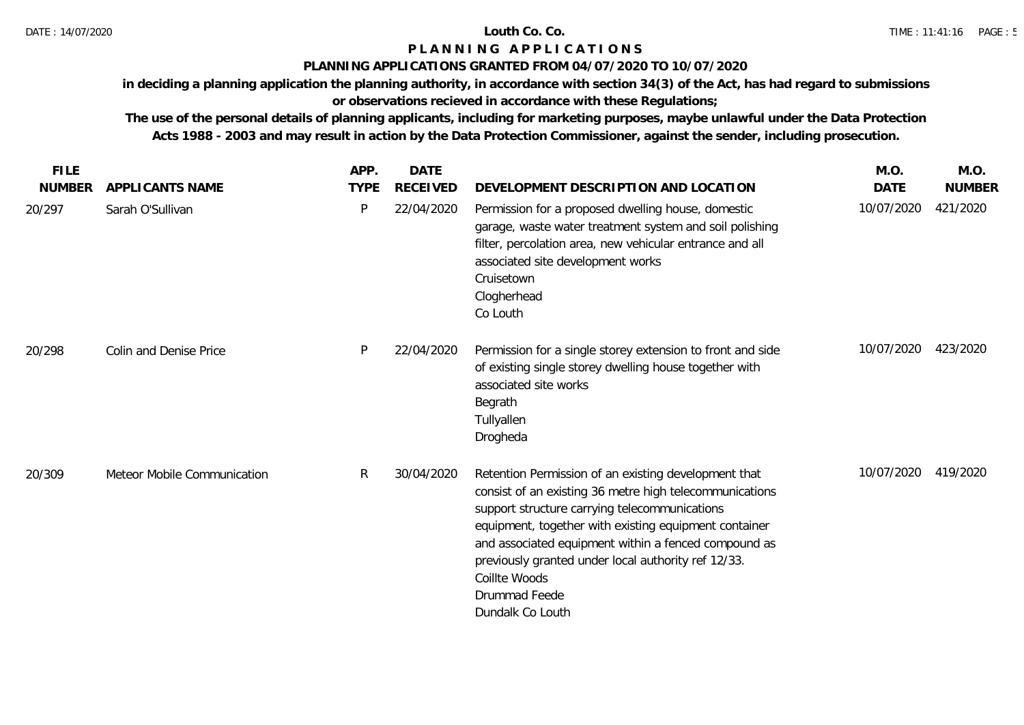### **PLANNING APPLICATIONS GRANTED FROM 04/07/2020 TO 10/07/2020**

**in deciding a planning application the planning authority, in accordance with section 34(3) of the Act, has had regard to submissions** 

# **or observations recieved in accordance with these Regulations;**

| <b>FILE</b>   |                             | APP.         | <b>DATE</b>     |                                                                                                                                                                                                                                                                                                                                                                                                | M.O.        | M.O.          |
|---------------|-----------------------------|--------------|-----------------|------------------------------------------------------------------------------------------------------------------------------------------------------------------------------------------------------------------------------------------------------------------------------------------------------------------------------------------------------------------------------------------------|-------------|---------------|
| <b>NUMBER</b> | APPLICANTS NAME             | <b>TYPE</b>  | <b>RECEIVED</b> | DEVELOPMENT DESCRIPTION AND LOCATION                                                                                                                                                                                                                                                                                                                                                           | <b>DATE</b> | <b>NUMBER</b> |
| 20/297        | Sarah O'Sullivan            | P            | 22/04/2020      | Permission for a proposed dwelling house, domestic<br>garage, waste water treatment system and soil polishing<br>filter, percolation area, new vehicular entrance and all<br>associated site development works<br>Cruisetown<br>Clogherhead<br>Co Louth                                                                                                                                        | 10/07/2020  | 421/2020      |
| 20/298        | Colin and Denise Price      | P            | 22/04/2020      | Permission for a single storey extension to front and side<br>of existing single storey dwelling house together with<br>associated site works<br>Begrath<br>Tullyallen<br>Drogheda                                                                                                                                                                                                             | 10/07/2020  | 423/2020      |
| 20/309        | Meteor Mobile Communication | $\mathsf{R}$ | 30/04/2020      | Retention Permission of an existing development that<br>consist of an existing 36 metre high telecommunications<br>support structure carrying telecommunications<br>equipment, together with existing equipment container<br>and associated equipment within a fenced compound as<br>previously granted under local authority ref 12/33.<br>Coillte Woods<br>Drummad Feede<br>Dundalk Co Louth | 10/07/2020  | 419/2020      |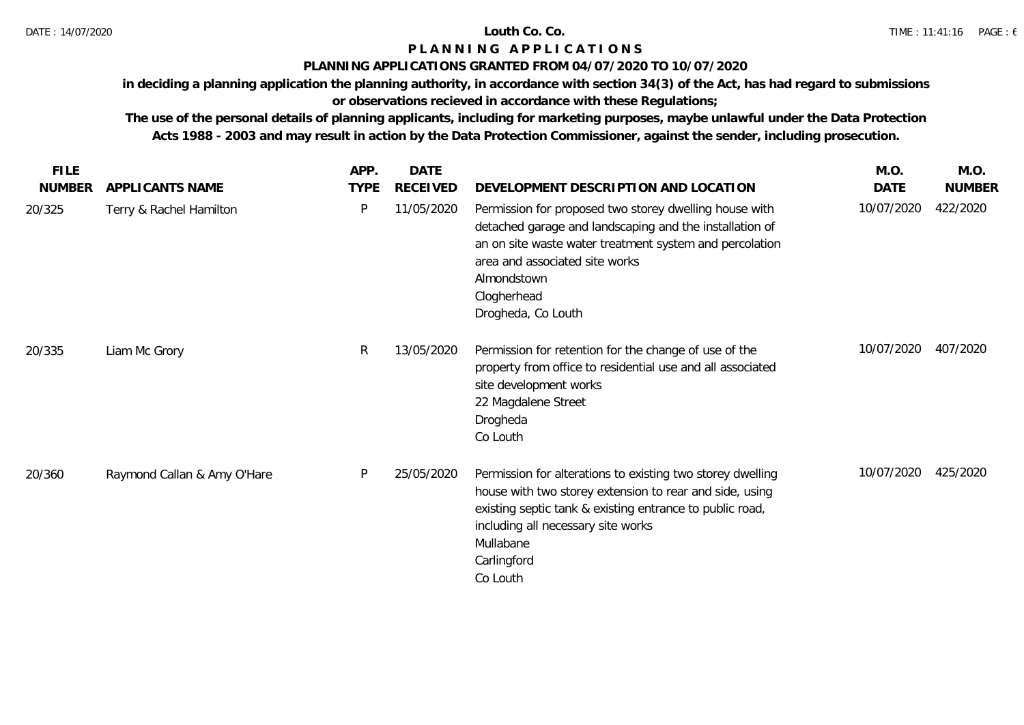### **PLANNING APPLICATIONS GRANTED FROM 04/07/2020 TO 10/07/2020**

**in deciding a planning application the planning authority, in accordance with section 34(3) of the Act, has had regard to submissions** 

# **or observations recieved in accordance with these Regulations;**

| <b>FILE</b>   |                             | APP.        | DATE            |                                                                                                                                                                                                                                                                    | M.O.       | M.O.          |
|---------------|-----------------------------|-------------|-----------------|--------------------------------------------------------------------------------------------------------------------------------------------------------------------------------------------------------------------------------------------------------------------|------------|---------------|
| <b>NUMBER</b> | APPLICANTS NAME             | <b>TYPE</b> | <b>RECEIVED</b> | DEVELOPMENT DESCRIPTION AND LOCATION                                                                                                                                                                                                                               | DATE       | <b>NUMBER</b> |
| 20/325        | Terry & Rachel Hamilton     | P           | 11/05/2020      | Permission for proposed two storey dwelling house with<br>detached garage and landscaping and the installation of<br>an on site waste water treatment system and percolation<br>area and associated site works<br>Almondstown<br>Clogherhead<br>Drogheda, Co Louth | 10/07/2020 | 422/2020      |
| 20/335        | Liam Mc Grory               | R           | 13/05/2020      | Permission for retention for the change of use of the<br>property from office to residential use and all associated<br>site development works<br>22 Magdalene Street<br>Drogheda<br>Co Louth                                                                       | 10/07/2020 | 407/2020      |
| 20/360        | Raymond Callan & Amy O'Hare | P           | 25/05/2020      | Permission for alterations to existing two storey dwelling<br>house with two storey extension to rear and side, using<br>existing septic tank & existing entrance to public road,<br>including all necessary site works<br>Mullabane<br>Carlingford<br>Co Louth    | 10/07/2020 | 425/2020      |